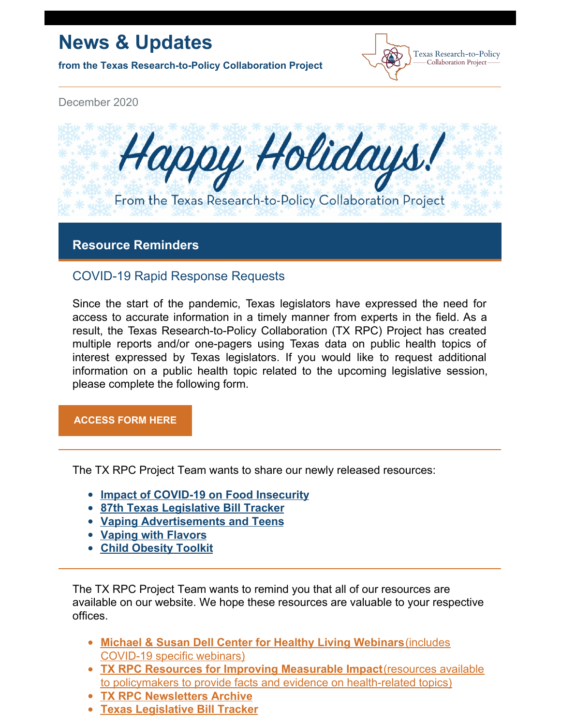# **News & Updates**

**from the Texas Research-to-Policy Collaboration Project**



December 2020



# **Resource Reminders**

# COVID-19 Rapid Response Requests

Since the start of the pandemic, Texas legislators have expressed the need for access to accurate information in a timely manner from experts in the field. As a result, the Texas Research-to-Policy Collaboration (TX RPC) Project has created multiple reports and/or one-pagers using Texas data on public health topics of interest expressed by Texas legislators. If you would like to request additional information on a public health topic related to the upcoming legislative session, please complete the following form.

**[ACCESS](https://docs.google.com/forms/u/2/d/1Wugxw_5Z2snWP5rEmX4N88dLKRnqrsAPYug_bCWMdCo/viewform?edit_requested=true) FORM HERE**

The TX RPC Project Team wants to share our newly released resources:

- **Impact of [COVID-19](https://sph.uth.edu/research/centers/dell/legislative-initiatives/COVID-19 and FI_12.3.20.pdf) on Food Insecurity**
- **87th Texas [Legislative](https://sph.uth.edu/research/centers/dell/87th-texas-legislative-session/index) Bill Tracker**
- **Vaping [Advertisements](https://sph.uth.edu/research/centers/dell/resources/vaping marketing.pdf) and Teens**
- **Vaping with [Flavors](https://sph.uth.edu/research/centers/dell/resources/vaping flavors.pdf)**
- **Child [Obesity](https://sph.uth.edu/research/centers/dell/child-health-toolkits/child-obesity-toolkit) Toolkit**

The TX RPC Project Team wants to remind you that all of our resources are available on our website. We hope these resources are valuable to your respective offices.

- **Michael & Susan Dell Center for Healthy Living [Webinars](https://sph.uth.edu/research/centers/dell/webinars/)**(includes [COVID-19](https://sph.uth.edu/research/centers/dell/webinars/) specific webinars)
- **TX RPC Resources for Improving [Measurable](https://sph.uth.edu/research/centers/dell/legislative-initiatives/texas-rpc-resources) Impact**(resources available to policymakers to provide facts and evidence on [health-related](https://sph.uth.edu/research/centers/dell/legislative-initiatives/texas-rpc-resources) topics)
- **TX RPC [Newsletters](https://sph.uth.edu/research/centers/dell/legislative-initiatives/rpc-newsletters) Archive**
- **Texas [Legislative](https://sph.uth.edu/research/centers/dell/86th-texas-legislature/) Bill Tracker**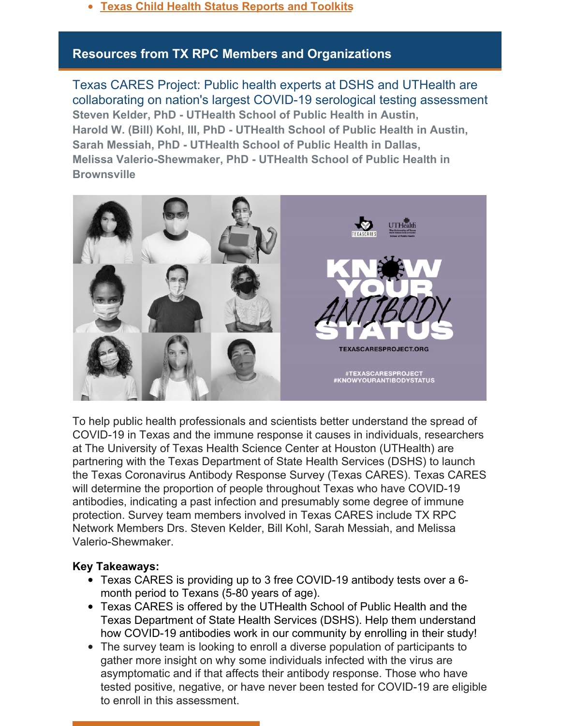**Texas Child Health Status [Reports](https://sph.uth.edu/research/centers/dell/texas-child-health-status-report/index.htm) and Toolkits**

# **Resources from TX RPC Members and Organizations**

Texas CARES Project: Public health experts at DSHS and UTHealth are collaborating on nation's largest COVID-19 serological testing assessment **Steven Kelder, PhD - UTHealth School of Public Health in Austin, Harold W. (Bill) Kohl, III, PhD - UTHealth School of Public Health in Austin, Sarah Messiah, PhD - UTHealth School of Public Health in Dallas, Melissa Valerio-Shewmaker, PhD - UTHealth School of Public Health in Brownsville**



To help public health professionals and scientists better understand the spread of COVID-19 in Texas and the immune response it causes in individuals, researchers at The University of Texas Health Science Center at Houston (UTHealth) are partnering with the Texas Department of State Health Services (DSHS) to launch the Texas Coronavirus Antibody Response Survey (Texas CARES). Texas CARES will determine the proportion of people throughout Texas who have COVID-19 antibodies, indicating a past infection and presumably some degree of immune protection. Survey team members involved in Texas CARES include TX RPC Network Members Drs. Steven Kelder, Bill Kohl, Sarah Messiah, and Melissa Valerio-Shewmaker.

#### **Key Takeaways:**

- Texas CARES is providing up to 3 free COVID-19 antibody tests over a 6 month period to Texans (5-80 years of age).
- Texas CARES is offered by the UTHealth School of Public Health and the Texas Department of State Health Services (DSHS). Help them understand how COVID-19 antibodies work in our community by enrolling in their study!
- The survey team is looking to enroll a diverse population of participants to gather more insight on why some individuals infected with the virus are asymptomatic and if that affects their antibody response. Those who have tested positive, negative, or have never been tested for COVID-19 are eligible to enroll in this assessment.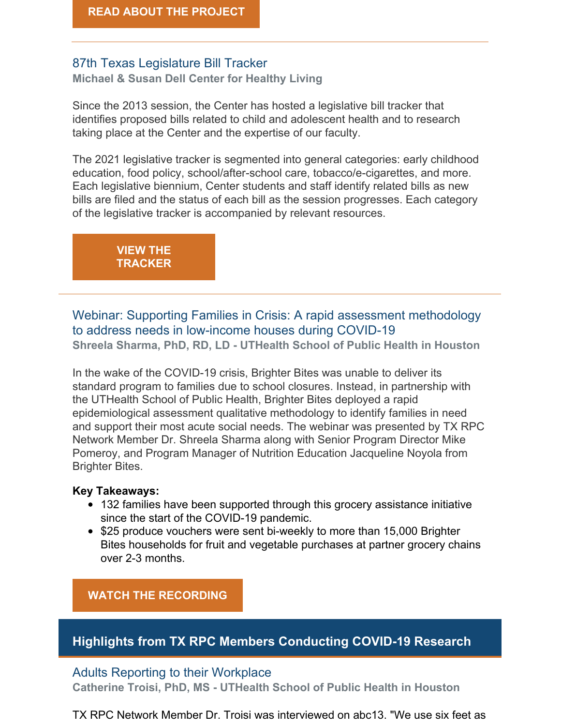# 87th Texas Legislature Bill Tracker

**Michael & Susan Dell Center for Healthy Living**

Since the 2013 session, the Center has hosted a legislative bill tracker that identifies proposed bills related to child and adolescent health and to research taking place at the Center and the expertise of our faculty.

The 2021 legislative tracker is segmented into general categories: early childhood education, food policy, school/after-school care, tobacco/e-cigarettes, and more. Each legislative biennium, Center students and staff identify related bills as new bills are filed and the status of each bill as the session progresses. Each category of the legislative tracker is accompanied by relevant resources.

> **VIEW THE [TRACKER](https://sph.uth.edu/research/centers/dell/87th-texas-legislative-session/index)**

Webinar: Supporting Families in Crisis: A rapid assessment methodology to address needs in low-income houses during COVID-19 **Shreela Sharma, PhD, RD, LD - UTHealth School of Public Health in Houston**

In the wake of the COVID-19 crisis, Brighter Bites was unable to deliver its standard program to families due to school closures. Instead, in partnership with the UTHealth School of Public Health, Brighter Bites deployed a rapid epidemiological assessment qualitative methodology to identify families in need and support their most acute social needs. The webinar was presented by TX RPC Network Member Dr. Shreela Sharma along with Senior Program Director Mike Pomeroy, and Program Manager of Nutrition Education Jacqueline Noyola from Brighter Bites.

#### **Key Takeaways:**

- 132 families have been supported through this grocery assistance initiative since the start of the COVID-19 pandemic.
- \$25 produce vouchers were sent bi-weekly to more than 15,000 Brighter Bites households for fruit and vegetable purchases at partner grocery chains over 2-3 months.

# **WATCH THE [RECORDING](https://sph.uth.edu/research/centers/dell/webinars/webinar.htm?id=bfeb160c-e0da-46ee-bb92-9eb25edbd955)**

# **Highlights from TX RPC Members Conducting COVID-19 Research**

#### Adults Reporting to their Workplace

**Catherine Troisi, PhD, MS - UTHealth School of Public Health in Houston**

TX RPC Network Member Dr. Troisi was interviewed on abc13. "We use six feet as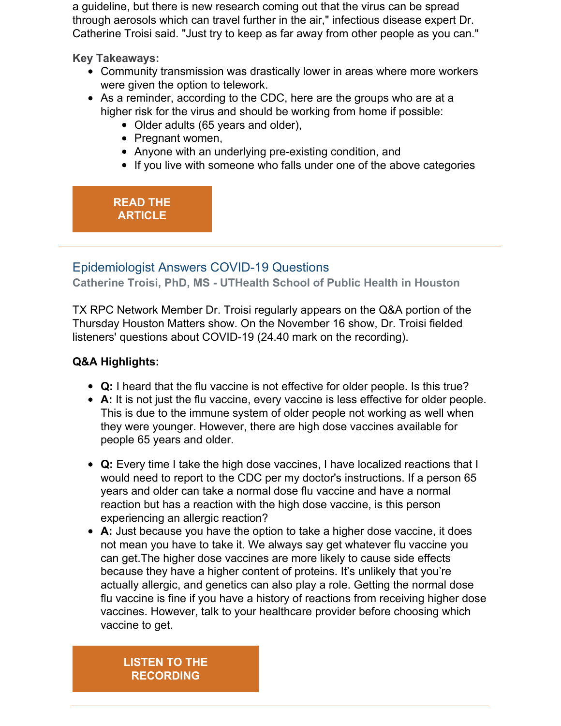a guideline, but there is new research coming out that the virus can be spread through aerosols which can travel further in the air," infectious disease expert Dr. Catherine Troisi said. "Just try to keep as far away from other people as you can."

**Key Takeaways:**

- Community transmission was drastically lower in areas where more workers were given the option to telework.
- As a reminder, according to the CDC, here are the groups who are at a higher risk for the virus and should be working from home if possible:
	- Older adults (65 years and older),
	- Pregnant women,
	- Anyone with an underlying pre-existing condition, and
	- If you live with someone who falls under one of the above categories

# **READ THE [ARTICLE](https://abc13.com/coronavirus-in-the-workplace-positive-covid-19-test-working-from-home-returning-to-work/7698645/)**

# Epidemiologist Answers COVID-19 Questions

**Catherine Troisi, PhD, MS - UTHealth School of Public Health in Houston**

TX RPC Network Member Dr. Troisi regularly appears on the Q&A portion of the Thursday Houston Matters show. On the November 16 show, Dr. Troisi fielded listeners' questions about COVID-19 (24.40 mark on the recording).

# **Q&A Highlights:**

- **Q:** I heard that the flu vaccine is not effective for older people. Is this true?
- **A:** It is not just the flu vaccine, every vaccine is less effective for older people. This is due to the immune system of older people not working as well when they were younger. However, there are high dose vaccines available for people 65 years and older.
- **Q:** Every time I take the high dose vaccines, I have localized reactions that I would need to report to the CDC per my doctor's instructions. If a person 65 years and older can take a normal dose flu vaccine and have a normal reaction but has a reaction with the high dose vaccine, is this person experiencing an allergic reaction?
- **A:** Just because you have the option to take a higher dose vaccine, it does not mean you have to take it. We always say get whatever flu vaccine you can get.The higher dose vaccines are more likely to cause side effects because they have a higher content of proteins. It's unlikely that you're actually allergic, and genetics can also play a role. Getting the normal dose flu vaccine is fine if you have a history of reactions from receiving higher dose vaccines. However, talk to your healthcare provider before choosing which vaccine to get.

**LISTEN TO THE [RECORDING](https://www.houstonpublicmedia.org/articles/shows/town-square/2020/11/10/385954/a-new-vaccine-against-covid-and-health-experts-answer-your-questions/?utm_source=rss-town-square-article&utm_medium=link&utm_campaign=hpm-rss-link)**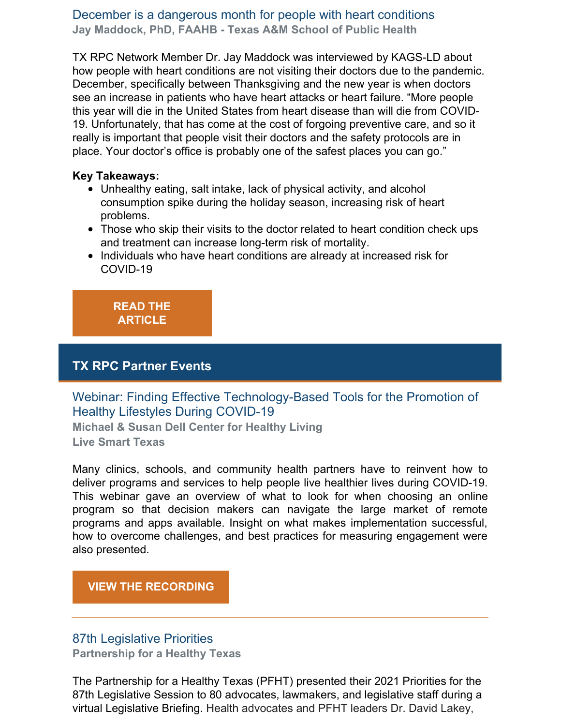## December is a dangerous month for people with heart conditions **Jay Maddock, PhD, FAAHB - Texas A&M School of Public Health**

TX RPC Network Member Dr. Jay Maddock was interviewed by KAGS-LD about how people with heart conditions are not visiting their doctors due to the pandemic. December, specifically between Thanksgiving and the new year is when doctors see an increase in patients who have heart attacks or heart failure. "More people this year will die in the United States from heart disease than will die from COVID-19. Unfortunately, that has come at the cost of forgoing preventive care, and so it really is important that people visit their doctors and the safety protocols are in place. Your doctor's office is probably one of the safest places you can go."

#### **Key Takeaways:**

- Unhealthy eating, salt intake, lack of physical activity, and alcohol consumption spike during the holiday season, increasing risk of heart problems.
- Those who skip their visits to the doctor related to heart condition check ups and treatment can increase long-term risk of mortality.
- Individuals who have heart conditions are already at increased risk for COVID-19

**READ THE [ARTICLE](https://www.kagstv.com/article/news/health/december-is-a-dangerous-month-for-those-with-heart-problems/499-2dbfc97b-6fe7-4dce-821a-340c5f4ebfbe)**

# **TX RPC Partner Events**

Webinar: Finding Effective Technology-Based Tools for the Promotion of Healthy Lifestyles During COVID-19

**Michael & Susan Dell Center for Healthy Living Live Smart Texas**

Many clinics, schools, and community health partners have to reinvent how to deliver programs and services to help people live healthier lives during COVID-19. This webinar gave an overview of what to look for when choosing an online program so that decision makers can navigate the large market of remote programs and apps available. Insight on what makes implementation successful, how to overcome challenges, and best practices for measuring engagement were also presented.

# **VIEW THE [RECORDING](https://files.constantcontact.com/8c069433101/df1237a1-0060-4f8d-b8e9-e101b099a5a4.pdf)**

# 87th Legislative Priorities

**Partnership for a Healthy Texas**

The Partnership for a Healthy Texas (PFHT) presented their 2021 Priorities for the 87th Legislative Session to 80 advocates, lawmakers, and legislative staff during a virtual Legislative Briefing. Health advocates and PFHT leaders Dr. David Lakey,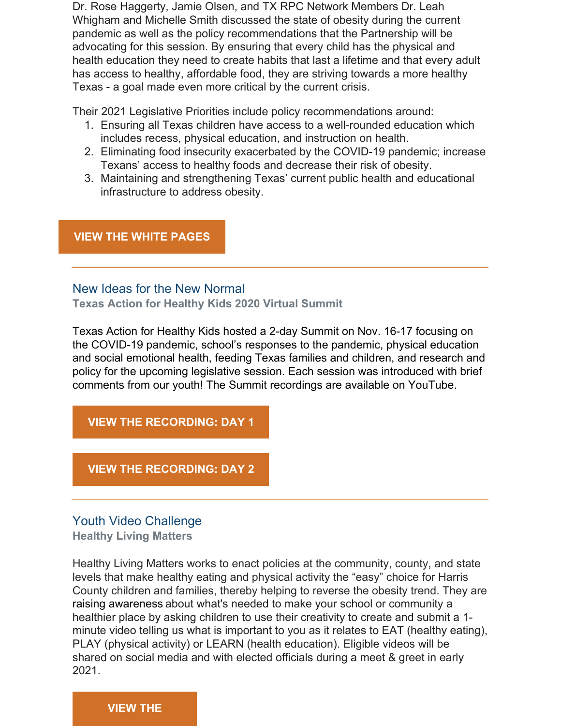Dr. Rose Haggerty, Jamie Olsen, and TX RPC Network Members Dr. Leah Whigham and Michelle Smith discussed the state of obesity during the current pandemic as well as the policy recommendations that the Partnership will be advocating for this session. By ensuring that every child has the physical and health education they need to create habits that last a lifetime and that every adult has access to healthy, affordable food, they are striving towards a more healthy Texas - a goal made even more critical by the current crisis.

Their 2021 Legislative Priorities include policy recommendations around:

- 1. Ensuring all Texas children have access to a well-rounded education which includes recess, physical education, and instruction on health.
- 2. Eliminating food insecurity exacerbated by the COVID-19 pandemic; increase Texans' access to healthy foods and decrease their risk of obesity.
- 3. Maintaining and strengthening Texas' current public health and educational infrastructure to address obesity.

## **VIEW THE WHITE [PAGES](https://mcusercontent.com/0d5cd172f0050a66ac825b83e/files/ee4f4853-7c64-4336-a9e2-f79e3661a29b/Priorites_2021.pdf)**

# New Ideas for the New Normal

**Texas Action for Healthy Kids 2020 Virtual Summit**

Texas Action for Healthy Kids hosted a 2-day Summit on Nov. 16-17 focusing on the COVID-19 pandemic, school's responses to the pandemic, physical education and social emotional health, feeding Texas families and children, and research and policy for the upcoming legislative session. Each session was introduced with brief comments from our youth! The Summit recordings are available on YouTube.

# **VIEW THE [RECORDING:](https://www.youtube.com/watch?v=Ej0osT3znTQ) DAY 1**

#### **VIEW THE [RECORDING:](https://www.youtube.com/watch?v=NvGyK6zePkw) DAY 2**

# Youth Video Challenge

**Healthy Living Matters**

Healthy Living Matters works to enact policies at the community, county, and state levels that make healthy eating and physical activity the "easy" choice for Harris County children and families, thereby helping to reverse the obesity trend. They are raising awareness about what's needed to make your school or community a healthier place by asking children to use their creativity to create and submit a 1 minute video telling us what is important to you as it relates to EAT (healthy eating), PLAY (physical activity) or LEARN (health education). Eligible videos will be shared on social media and with elected officials during a meet & greet in early 2021.

#### **[VIEW](http://www.healthylivingmatters.net/youth_video_challenge) THE**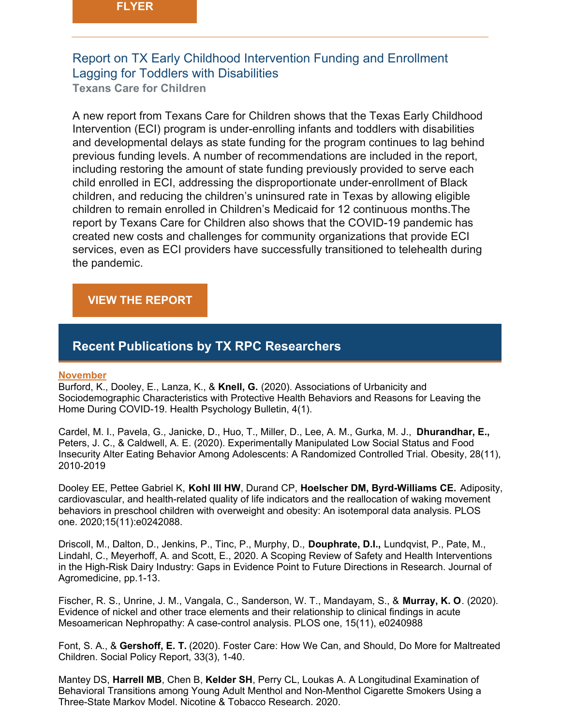# Report on TX Early Childhood Intervention Funding and Enrollment Lagging for Toddlers with Disabilities

**Texans Care for Children**

A new report from Texans Care for Children shows that the Texas Early Childhood Intervention (ECI) program is under-enrolling infants and toddlers with disabilities and developmental delays as state funding for the program continues to lag behind previous funding levels. A number of recommendations are included in the report, including restoring the amount of state funding previously provided to serve each child enrolled in ECI, addressing the disproportionate under-enrollment of Black children, and reducing the children's uninsured rate in Texas by allowing eligible children to remain enrolled in Children's Medicaid for 12 continuous months.The report by Texans Care for Children also shows that the COVID-19 pandemic has created new costs and challenges for community organizations that provide ECI services, even as ECI providers have successfully transitioned to telehealth during the pandemic.

## **VIEW THE [REPORT](https://static1.squarespace.com/static/5728d34462cd94b84dc567ed/t/5fab103aec781e3dbf1edc63/1605046345289/2020-eci-report.pdf)**

# **Recent Publications by TX RPC Researchers**

#### **November**

Burford, K., Dooley, E., Lanza, K., & **Knell, G.** (2020). Associations of Urbanicity and Sociodemographic Characteristics with Protective Health Behaviors and Reasons for Leaving the Home During COVID-19. Health Psychology Bulletin, 4(1).

Cardel, M. I., Pavela, G., Janicke, D., Huo, T., Miller, D., Lee, A. M., Gurka, M. J., **Dhurandhar, E.,** Peters, J. C., & Caldwell, A. E. (2020). Experimentally Manipulated Low Social Status and Food Insecurity Alter Eating Behavior Among Adolescents: A Randomized Controlled Trial. Obesity, 28(11), 2010-2019

Dooley EE, Pettee Gabriel K, **Kohl III HW**, Durand CP, **Hoelscher DM, Byrd-Williams CE.** Adiposity, cardiovascular, and health-related quality of life indicators and the reallocation of waking movement behaviors in preschool children with overweight and obesity: An isotemporal data analysis. PLOS one. 2020;15(11):e0242088.

Driscoll, M., Dalton, D., Jenkins, P., Tinc, P., Murphy, D., **Douphrate, D.I.,** Lundqvist, P., Pate, M., Lindahl, C., Meyerhoff, A. and Scott, E., 2020. A Scoping Review of Safety and Health Interventions in the High-Risk Dairy Industry: Gaps in Evidence Point to Future Directions in Research. Journal of Agromedicine, pp.1-13.

Fischer, R. S., Unrine, J. M., Vangala, C., Sanderson, W. T., Mandayam, S., & **Murray, K. O**. (2020). Evidence of nickel and other trace elements and their relationship to clinical findings in acute Mesoamerican Nephropathy: A case-control analysis. PLOS one, 15(11), e0240988

Font, S. A., & **Gershoff, E. T.** (2020). Foster Care: How We Can, and Should, Do More for Maltreated Children. Social Policy Report, 33(3), 1-40.

Mantey DS, **Harrell MB**, Chen B, **Kelder SH**, Perry CL, Loukas A. A Longitudinal Examination of Behavioral Transitions among Young Adult Menthol and Non-Menthol Cigarette Smokers Using a Three-State Markov Model. Nicotine & Tobacco Research. 2020.